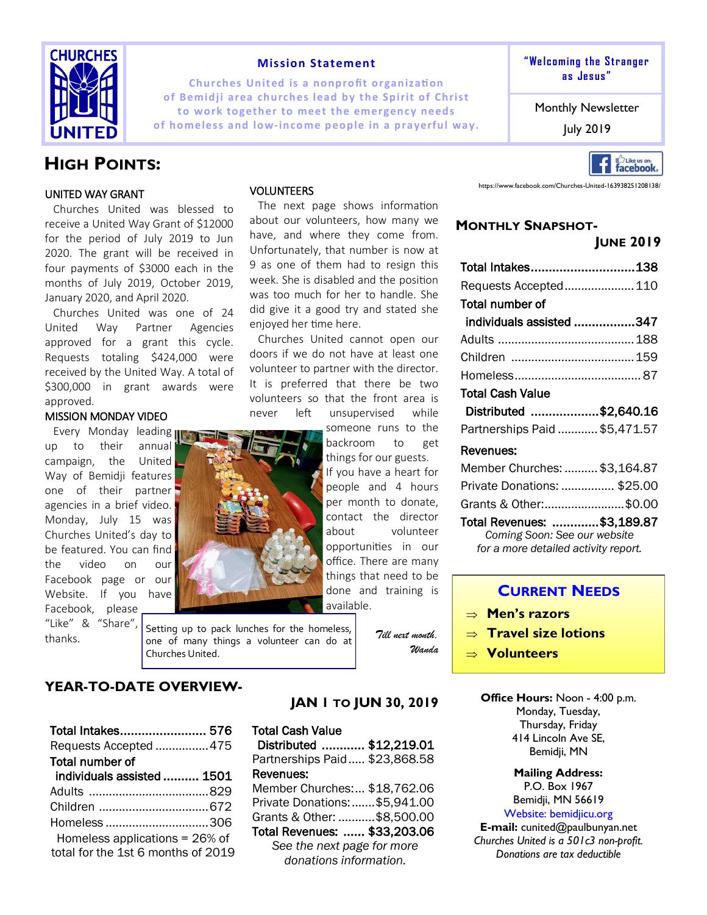

#### **Mission Statement**

**Churches United is a nonprofit organization of Bemidji area churches lead by the Spirit of Christ to work together to meet the emergency needs of homeless and low-income people in a prayerful way. The last puly 2019** 



Monthly Newsletter

# Like us on:<br>**facebook**.

**HIGH POINTS:** 

#### UNITED WAY GRANT

Churches United was blessed to receive a United Way Grant of \$12000 for the period of July 2019 to Jun 2020. The grant will be received in four payments of \$3000 each in the months of July 2019, October 2019, January 2020, and April 2020.

Churches United was one of 24 United Way Partner Agencies approved for a grant this cycle. Requests totaling \$424,000 were received by the United Way. A total of \$300,000 in grant awards were approved.

#### MISSION MONDAY VIDEO

Every Monday leading up to their annual campaign, the United Way of Bemidii features one of their partner agencies in a brief video. Monday, July 15 was Churches United's day to be featured. You can find the video on our Facebook page or our Website. If you have Facebook, please "Like" & "Share",

thanks.



The next page shows information about our volunteers, how many we have, and where they come from. Unfortunately, that number is now at 9 as one of them had to resign this week. She is disabled and the position was too much for her to handle. She did give it a good try and stated she enjoyed her time here.

Churches United cannot open our doors if we do not have at least one volunteer to partner with the director. It is preferred that there be two volunteers so that the front area is never left unsupervised while

> someone runs to the backroom to get things for our guests.

If you have a heart for people and 4 hours per month to donate, contact the director about volunteer opportunities in our office. There are many things that need to be done and training is available.

Setting up to pack lunches for the homeless, one of many things a volunteer can do at Churches United.

*Till next month, Wanda*

**YEAR-TO-DATE OVERVIEW-**

| Total Intakes 576                  |  |
|------------------------------------|--|
| Requests Accepted 475              |  |
| Total number of                    |  |
| individuals assisted  1501         |  |
|                                    |  |
|                                    |  |
| Homeless306                        |  |
| Homeless applications = 26% of     |  |
| total for the 1st 6 months of 2019 |  |

# **JAN 1 TO JUN 30, 2019**

## Total Cash Value

Distributed ............ \$12,219.01 Partnerships Paid..... \$23,868.58 Revenues: Member Churches:... \$18,762.06 Private Donations:.......\$5,941.00 Grants & Other: ...........\$8,500.00 Total Revenues: ...... \$33,203.06 *See the next page for more donations information.*



https://www.facebook.com/Churches-United-163938251208138/

### **MONTHLY SNAPSHOT-**

|                               | <b>JUNE 2019</b> |
|-------------------------------|------------------|
| Total Intakes138              |                  |
| Requests Accepted 110         |                  |
| Total number of               |                  |
| individuals assisted 347      |                  |
|                               |                  |
|                               |                  |
|                               |                  |
| Total Cash Value              |                  |
| Distributed \$2,640.16        |                  |
| Partnerships Paid  \$5,471.57 |                  |
| Revenues:                     |                  |
| Member Churches:  \$3,164.87  |                  |
| Private Donations:  \$25.00   |                  |
| Grants & Other:\$0.00         |                  |
|                               |                  |

Total Revenues: ............. \$3,189.87 *Coming Soon: See our website for a more detailed activity report.*

## **CURRENT NEEDS**

- **Men's razors**
- **Travel size lotions**
- **Volunteers**

**Office Hours:** Noon - 4:00 p.m. Monday, Tuesday, Thursday, Friday 414 Lincoln Ave SE, Bemidji, MN

> **Mailing Address:**  P.O. Box 1967 Bemidji, MN 56619

Website: bemidjicu.org **E-mail:** cunited@paulbunyan.net *Churches United is a 501c3 non-profit. Donations are tax deductible*